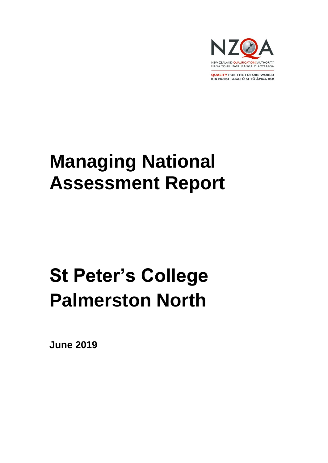

**QUALIFY FOR THE FUTURE WORLD** KIA NOHO TAKATŪ KI TŌ ĀMUA AO!

# **Managing National Assessment Report**

# **St Peter's College Palmerston North**

**June 2019**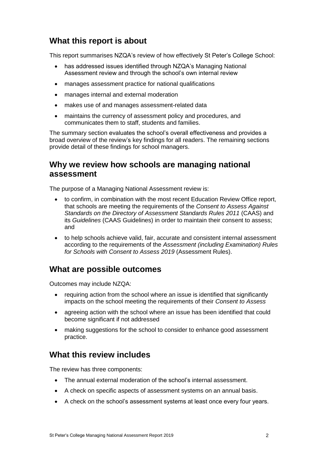## **What this report is about**

This report summarises NZQA's review of how effectively St Peter's College School:

- has addressed issues identified through NZQA's Managing National Assessment review and through the school's own internal review
- manages assessment practice for national qualifications
- manages internal and external moderation
- makes use of and manages assessment-related data
- maintains the currency of assessment policy and procedures, and communicates them to staff, students and families.

The summary section evaluates the school's overall effectiveness and provides a broad overview of the review's key findings for all readers. The remaining sections provide detail of these findings for school managers.

## **Why we review how schools are managing national assessment**

The purpose of a Managing National Assessment review is:

- to confirm, in combination with the most recent Education Review Office report, that schools are meeting the requirements of the *Consent to Assess Against Standards on the Directory of Assessment Standards Rules 2011* (CAAS) and its *Guidelines* (CAAS Guidelines) in order to maintain their consent to assess; and
- to help schools achieve valid, fair, accurate and consistent internal assessment according to the requirements of the *Assessment (including Examination) Rules for Schools with Consent to Assess 2019* (Assessment Rules).

## **What are possible outcomes**

Outcomes may include NZQA:

- requiring action from the school where an issue is identified that significantly impacts on the school meeting the requirements of their *Consent to Assess*
- agreeing action with the school where an issue has been identified that could become significant if not addressed
- making suggestions for the school to consider to enhance good assessment practice.

## **What this review includes**

The review has three components:

- The annual external moderation of the school's internal assessment.
- A check on specific aspects of assessment systems on an annual basis.
- A check on the school's assessment systems at least once every four years.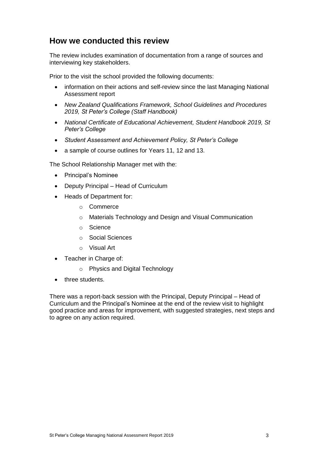## **How we conducted this review**

The review includes examination of documentation from a range of sources and interviewing key stakeholders.

Prior to the visit the school provided the following documents:

- information on their actions and self-review since the last Managing National Assessment report
- *New Zealand Qualifications Framework, School Guidelines and Procedures 2019, St Peter's College (Staff Handbook)*
- *National Certificate of Educational Achievement, Student Handbook 2019, St Peter's College*
- *Student Assessment and Achievement Policy, St Peter's College*
- a sample of course outlines for Years 11, 12 and 13.

The School Relationship Manager met with the:

- Principal's Nominee
- Deputy Principal Head of Curriculum
- Heads of Department for:
	- o Commerce
	- o Materials Technology and Design and Visual Communication
	- o Science
	- o Social Sciences
	- o Visual Art
- Teacher in Charge of:
	- o Physics and Digital Technology
- three students.

There was a report-back session with the Principal, Deputy Principal – Head of Curriculum and the Principal's Nominee at the end of the review visit to highlight good practice and areas for improvement, with suggested strategies, next steps and to agree on any action required.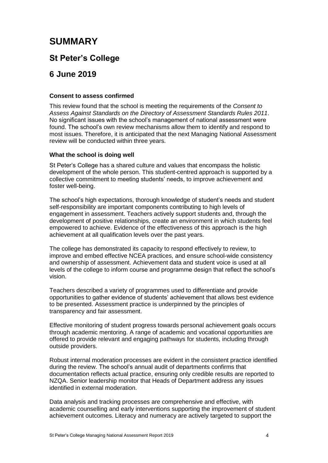## **SUMMARY**

## **St Peter's College**

## **6 June 2019**

#### **Consent to assess confirmed**

This review found that the school is meeting the requirements of the *Consent to Assess Against Standards on the Directory of Assessment Standards Rules 2011*. No significant issues with the school's management of national assessment were found. The school's own review mechanisms allow them to identify and respond to most issues. Therefore, it is anticipated that the next Managing National Assessment review will be conducted within three years.

## **What the school is doing well**

St Peter's College has a shared culture and values that encompass the holistic development of the whole person. This student-centred approach is supported by a collective commitment to meeting students' needs, to improve achievement and foster well-being.

The school's high expectations, thorough knowledge of student's needs and student self-responsibility are important components contributing to high levels of engagement in assessment. Teachers actively support students and, through the development of positive relationships, create an environment in which students feel empowered to achieve. Evidence of the effectiveness of this approach is the high achievement at all qualification levels over the past years.

The college has demonstrated its capacity to respond effectively to review, to improve and embed effective NCEA practices, and ensure school-wide consistency and ownership of assessment. Achievement data and student voice is used at all levels of the college to inform course and programme design that reflect the school's vision.

Teachers described a variety of programmes used to differentiate and provide opportunities to gather evidence of students' achievement that allows best evidence to be presented. Assessment practice is underpinned by the principles of transparency and fair assessment.

Effective monitoring of student progress towards personal achievement goals occurs through academic mentoring. A range of academic and vocational opportunities are offered to provide relevant and engaging pathways for students, including through outside providers.

Robust internal moderation processes are evident in the consistent practice identified during the review. The school's annual audit of departments confirms that documentation reflects actual practice, ensuring only credible results are reported to NZQA. Senior leadership monitor that Heads of Department address any issues identified in external moderation.

Data analysis and tracking processes are comprehensive and effective, with academic counselling and early interventions supporting the improvement of student achievement outcomes. Literacy and numeracy are actively targeted to support the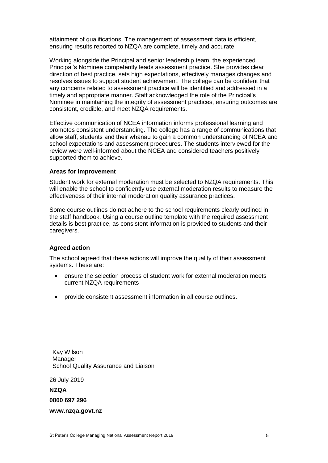attainment of qualifications. The management of assessment data is efficient, ensuring results reported to NZQA are complete, timely and accurate.

Working alongside the Principal and senior leadership team, the experienced Principal's Nominee competently leads assessment practice. She provides clear direction of best practice, sets high expectations, effectively manages changes and resolves issues to support student achievement. The college can be confident that any concerns related to assessment practice will be identified and addressed in a timely and appropriate manner. Staff acknowledged the role of the Principal's Nominee in maintaining the integrity of assessment practices, ensuring outcomes are consistent, credible, and meet NZQA requirements.

Effective communication of NCEA information informs professional learning and promotes consistent understanding. The college has a range of communications that allow staff, students and their whānau to gain a common understanding of NCEA and school expectations and assessment procedures. The students interviewed for the review were well-informed about the NCEA and considered teachers positively supported them to achieve.

#### **Areas for improvement**

Student work for external moderation must be selected to NZQA requirements. This will enable the school to confidently use external moderation results to measure the effectiveness of their internal moderation quality assurance practices.

Some course outlines do not adhere to the school requirements clearly outlined in the staff handbook. Using a course outline template with the required assessment details is best practice, as consistent information is provided to students and their caregivers.

#### **Agreed action**

The school agreed that these actions will improve the quality of their assessment systems. These are:

- ensure the selection process of student work for external moderation meets current NZQA requirements
- provide consistent assessment information in all course outlines.

Kay Wilson Manager School Quality Assurance and Liaison

26 July 2019

**NZQA**

**0800 697 296**

**www.nzqa.govt.nz**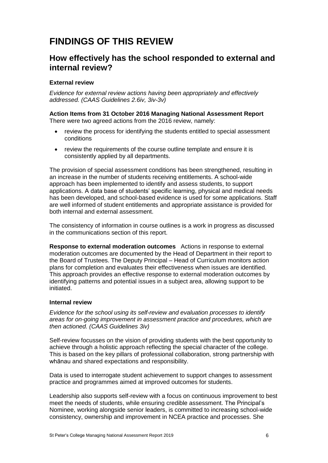## **FINDINGS OF THIS REVIEW**

## **How effectively has the school responded to external and internal review?**

## **External review**

*Evidence for external review actions having been appropriately and effectively addressed. (CAAS Guidelines 2.6iv, 3iv-3v)*

#### **Action Items from 31 October 2016 Managing National Assessment Report**  There were two agreed actions from the 2016 review, namely:

- review the process for identifying the students entitled to special assessment conditions
- review the requirements of the course outline template and ensure it is consistently applied by all departments.

The provision of special assessment conditions has been strengthened, resulting in an increase in the number of students receiving entitlements. A school-wide approach has been implemented to identify and assess students, to support applications. A data base of students' specific learning, physical and medical needs has been developed, and school-based evidence is used for some applications. Staff are well informed of student entitlements and appropriate assistance is provided for both internal and external assessment.

The consistency of information in course outlines is a work in progress as discussed in the communications section of this report.

**Response to external moderation outcomes** Actions in response to external moderation outcomes are documented by the Head of Department in their report to the Board of Trustees. The Deputy Principal – Head of Curriculum monitors action plans for completion and evaluates their effectiveness when issues are identified. This approach provides an effective response to external moderation outcomes by identifying patterns and potential issues in a subject area, allowing support to be initiated.

#### **Internal review**

*Evidence for the school using its self-review and evaluation processes to identify areas for on-going improvement in assessment practice and procedures, which are then actioned. (CAAS Guidelines 3iv)*

Self-review focusses on the vision of providing students with the best opportunity to achieve through a holistic approach reflecting the special character of the college. This is based on the key pillars of professional collaboration, strong partnership with whānau and shared expectations and responsibility.

Data is used to interrogate student achievement to support changes to assessment practice and programmes aimed at improved outcomes for students.

Leadership also supports self-review with a focus on continuous improvement to best meet the needs of students, while ensuring credible assessment. The Principal's Nominee, working alongside senior leaders, is committed to increasing school-wide consistency, ownership and improvement in NCEA practice and processes. She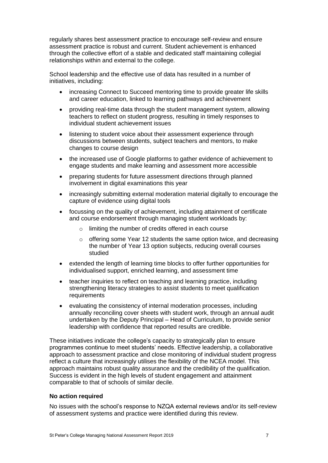regularly shares best assessment practice to encourage self-review and ensure assessment practice is robust and current. Student achievement is enhanced through the collective effort of a stable and dedicated staff maintaining collegial relationships within and external to the college.

School leadership and the effective use of data has resulted in a number of initiatives, including:

- increasing Connect to Succeed mentoring time to provide greater life skills and career education, linked to learning pathways and achievement
- providing real-time data through the student management system, allowing teachers to reflect on student progress, resulting in timely responses to individual student achievement issues
- listening to student voice about their assessment experience through discussions between students, subject teachers and mentors, to make changes to course design
- the increased use of Google platforms to gather evidence of achievement to engage students and make learning and assessment more accessible
- preparing students for future assessment directions through planned involvement in digital examinations this year
- increasingly submitting external moderation material digitally to encourage the capture of evidence using digital tools
- focussing on the quality of achievement, including attainment of certificate and course endorsement through managing student workloads by:
	- o limiting the number of credits offered in each course
	- $\circ$  offering some Year 12 students the same option twice, and decreasing the number of Year 13 option subjects, reducing overall courses studied
- extended the length of learning time blocks to offer further opportunities for individualised support, enriched learning, and assessment time
- teacher inquiries to reflect on teaching and learning practice, including strengthening literacy strategies to assist students to meet qualification requirements
- evaluating the consistency of internal moderation processes, including annually reconciling cover sheets with student work, through an annual audit undertaken by the Deputy Principal – Head of Curriculum, to provide senior leadership with confidence that reported results are credible.

These initiatives indicate the college's capacity to strategically plan to ensure programmes continue to meet students' needs. Effective leadership, a collaborative approach to assessment practice and close monitoring of individual student progress reflect a culture that increasingly utilises the flexibility of the NCEA model. This approach maintains robust quality assurance and the credibility of the qualification. Success is evident in the high levels of student engagement and attainment comparable to that of schools of similar decile.

## **No action required**

No issues with the school's response to NZQA external reviews and/or its self-review of assessment systems and practice were identified during this review.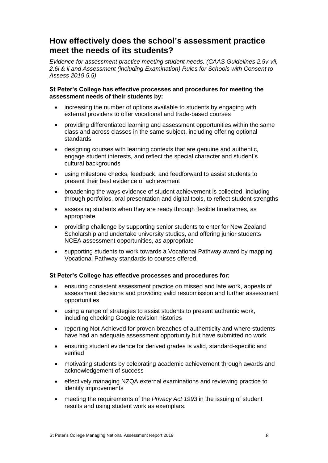## **How effectively does the school's assessment practice meet the needs of its students?**

*Evidence for assessment practice meeting student needs. (CAAS Guidelines 2.5v-vii, 2.6i & ii and Assessment (including Examination) Rules for Schools with Consent to Assess 2019 5.5)*

#### **St Peter's College has effective processes and procedures for meeting the assessment needs of their students by:**

- increasing the number of options available to students by engaging with external providers to offer vocational and trade-based courses
- providing differentiated learning and assessment opportunities within the same class and across classes in the same subject, including offering optional standards
- designing courses with learning contexts that are genuine and authentic, engage student interests, and reflect the special character and student's cultural backgrounds
- using milestone checks, feedback, and feedforward to assist students to present their best evidence of achievement
- broadening the ways evidence of student achievement is collected, including through portfolios, oral presentation and digital tools, to reflect student strengths
- assessing students when they are ready through flexible timeframes, as appropriate
- providing challenge by supporting senior students to enter for New Zealand Scholarship and undertake university studies, and offering junior students NCEA assessment opportunities, as appropriate
- supporting students to work towards a Vocational Pathway award by mapping Vocational Pathway standards to courses offered.

## **St Peter's College has effective processes and procedures for:**

- ensuring consistent assessment practice on missed and late work, appeals of assessment decisions and providing valid resubmission and further assessment opportunities
- using a range of strategies to assist students to present authentic work, including checking Google revision histories
- reporting Not Achieved for proven breaches of authenticity and where students have had an adequate assessment opportunity but have submitted no work
- ensuring student evidence for derived grades is valid, standard-specific and verified
- motivating students by celebrating academic achievement through awards and acknowledgement of success
- effectively managing NZQA external examinations and reviewing practice to identify improvements
- meeting the requirements of the *Privacy Act 1993* in the issuing of student results and using student work as exemplars.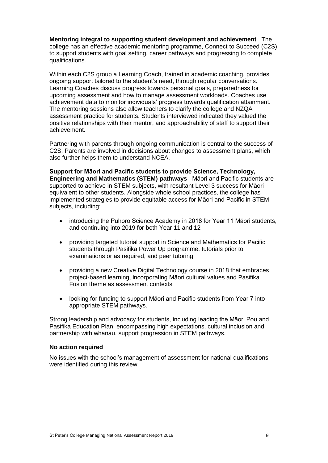**Mentoring integral to supporting student development and achievement** The college has an effective academic mentoring programme, Connect to Succeed (C2S) to support students with goal setting, career pathways and progressing to complete qualifications.

Within each C2S group a Learning Coach, trained in academic coaching, provides ongoing support tailored to the student's need, through regular conversations. Learning Coaches discuss progress towards personal goals, preparedness for upcoming assessment and how to manage assessment workloads. Coaches use achievement data to monitor individuals' progress towards qualification attainment. The mentoring sessions also allow teachers to clarify the college and NZQA assessment practice for students. Students interviewed indicated they valued the positive relationships with their mentor, and approachability of staff to support their achievement.

Partnering with parents through ongoing communication is central to the success of C2S. Parents are involved in decisions about changes to assessment plans, which also further helps them to understand NCEA.

**Support for Māori and Pacific students to provide Science, Technology, Engineering and Mathematics (STEM) pathways** Māori and Pacific students are supported to achieve in STEM subjects, with resultant Level 3 success for Māori equivalent to other students. Alongside whole school practices, the college has implemented strategies to provide equitable access for Māori and Pacific in STEM subjects, including:

- introducing the Puhoro Science Academy in 2018 for Year 11 Māori students, and continuing into 2019 for both Year 11 and 12
- providing targeted tutorial support in Science and Mathematics for Pacific students through Pasifika Power Up programme, tutorials prior to examinations or as required, and peer tutoring
- providing a new Creative Digital Technology course in 2018 that embraces project-based learning, incorporating Māori cultural values and Pasifika Fusion theme as assessment contexts
- looking for funding to support Māori and Pacific students from Year 7 into appropriate STEM pathways.

Strong leadership and advocacy for students, including leading the Māori Pou and Pasifika Education Plan, encompassing high expectations, cultural inclusion and partnership with whanau, support progression in STEM pathways.

#### **No action required**

No issues with the school's management of assessment for national qualifications were identified during this review.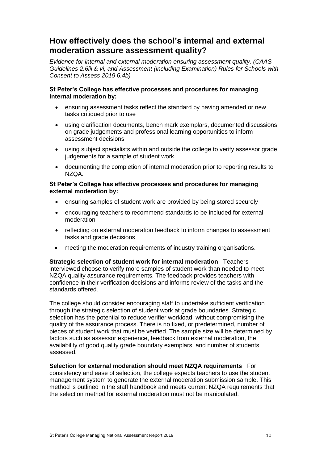## **How effectively does the school's internal and external moderation assure assessment quality?**

*Evidence for internal and external moderation ensuring assessment quality. (CAAS Guidelines 2.6iii & vi, and Assessment (including Examination) Rules for Schools with Consent to Assess 2019 6.4b)*

## **St Peter's College has effective processes and procedures for managing internal moderation by:**

- ensuring assessment tasks reflect the standard by having amended or new tasks critiqued prior to use
- using clarification documents, bench mark exemplars, documented discussions on grade judgements and professional learning opportunities to inform assessment decisions
- using subject specialists within and outside the college to verify assessor grade judgements for a sample of student work
- documenting the completion of internal moderation prior to reporting results to NZQA.

#### **St Peter's College has effective processes and procedures for managing external moderation by:**

- ensuring samples of student work are provided by being stored securely
- encouraging teachers to recommend standards to be included for external moderation
- reflecting on external moderation feedback to inform changes to assessment tasks and grade decisions
- meeting the moderation requirements of industry training organisations.

**Strategic selection of student work for internal moderation** Teachers interviewed choose to verify more samples of student work than needed to meet NZQA quality assurance requirements. The feedback provides teachers with confidence in their verification decisions and informs review of the tasks and the standards offered.

The college should consider encouraging staff to undertake sufficient verification through the strategic selection of student work at grade boundaries. Strategic selection has the potential to reduce verifier workload, without compromising the quality of the assurance process. There is no fixed, or predetermined, number of pieces of student work that must be verified. The sample size will be determined by factors such as assessor experience, feedback from external moderation, the availability of good quality grade boundary exemplars, and number of students assessed.

**Selection for external moderation should meet NZQA requirements** For consistency and ease of selection, the college expects teachers to use the student management system to generate the external moderation submission sample. This method is outlined in the staff handbook and meets current NZQA requirements that the selection method for external moderation must not be manipulated.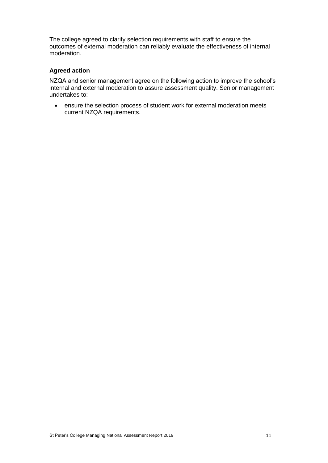The college agreed to clarify selection requirements with staff to ensure the outcomes of external moderation can reliably evaluate the effectiveness of internal moderation.

## **Agreed action**

NZQA and senior management agree on the following action to improve the school's internal and external moderation to assure assessment quality. Senior management undertakes to:

• ensure the selection process of student work for external moderation meets current NZQA requirements.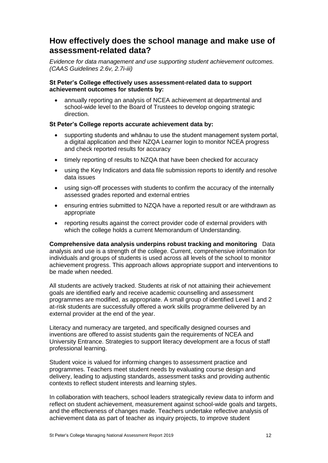## **How effectively does the school manage and make use of assessment-related data?**

*Evidence for data management and use supporting student achievement outcomes. (CAAS Guidelines 2.6v, 2.7i-iii)*

## **St Peter's College effectively uses assessment-related data to support achievement outcomes for students by:**

• annually reporting an analysis of NCEA achievement at departmental and school-wide level to the Board of Trustees to develop ongoing strategic direction.

## **St Peter's College reports accurate achievement data by:**

- supporting students and whānau to use the student management system portal, a digital application and their NZQA Learner login to monitor NCEA progress and check reported results for accuracy
- timely reporting of results to NZQA that have been checked for accuracy
- using the Key Indicators and data file submission reports to identify and resolve data issues
- using sign-off processes with students to confirm the accuracy of the internally assessed grades reported and external entries
- ensuring entries submitted to NZQA have a reported result or are withdrawn as appropriate
- reporting results against the correct provider code of external providers with which the college holds a current Memorandum of Understanding.

**Comprehensive data analysis underpins robust tracking and monitoring** Data analysis and use is a strength of the college. Current, comprehensive information for individuals and groups of students is used across all levels of the school to monitor achievement progress. This approach allows appropriate support and interventions to be made when needed.

All students are actively tracked. Students at risk of not attaining their achievement goals are identified early and receive academic counselling and assessment programmes are modified, as appropriate. A small group of identified Level 1 and 2 at-risk students are successfully offered a work skills programme delivered by an external provider at the end of the year.

Literacy and numeracy are targeted, and specifically designed courses and inventions are offered to assist students gain the requirements of NCEA and University Entrance. Strategies to support literacy development are a focus of staff professional learning.

Student voice is valued for informing changes to assessment practice and programmes. Teachers meet student needs by evaluating course design and delivery, leading to adjusting standards, assessment tasks and providing authentic contexts to reflect student interests and learning styles.

In collaboration with teachers, school leaders strategically review data to inform and reflect on student achievement, measurement against school-wide goals and targets, and the effectiveness of changes made. Teachers undertake reflective analysis of achievement data as part of teacher as inquiry projects, to improve student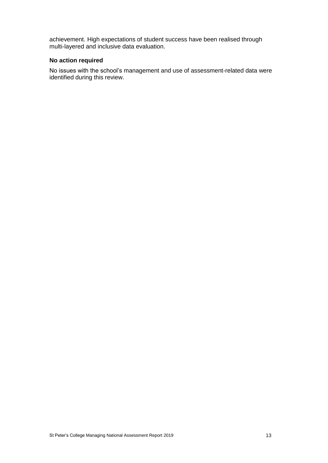achievement. High expectations of student success have been realised through multi-layered and inclusive data evaluation.

## **No action required**

No issues with the school's management and use of assessment-related data were identified during this review.